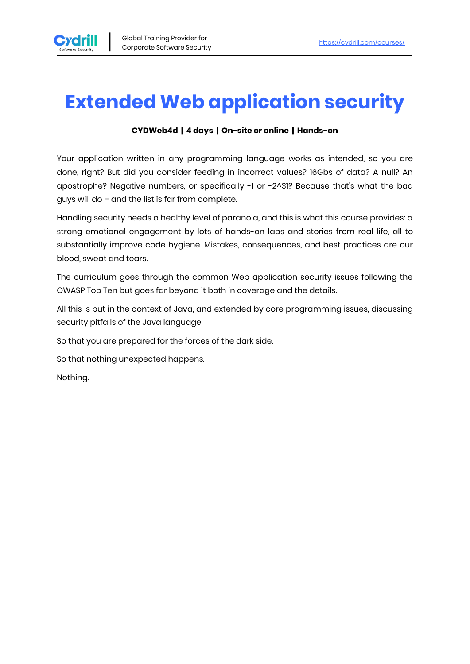

# **Extended Web application security**

#### **CYDWeb4d | 4 days | On-site or online | Hands-on**

Your application written in any programming language works as intended, so you are done, right? But did you consider feeding in incorrect values? 16Gbs of data? A null? An apostrophe? Negative numbers, or specifically -1 or -2^31? Because that's what the bad guys will do – and the list is far from complete.

Handling security needs a healthy level of paranoia, and this is what this course provides: a strong emotional engagement by lots of hands-on labs and stories from real life, all to substantially improve code hygiene. Mistakes, consequences, and best practices are our blood, sweat and tears.

The curriculum goes through the common Web application security issues following the OWASP Top Ten but goes far beyond it both in coverage and the details.

All this is put in the context of Java, and extended by core programming issues, discussing security pitfalls of the Java language.

So that you are prepared for the forces of the dark side.

So that nothing unexpected happens.

Nothing.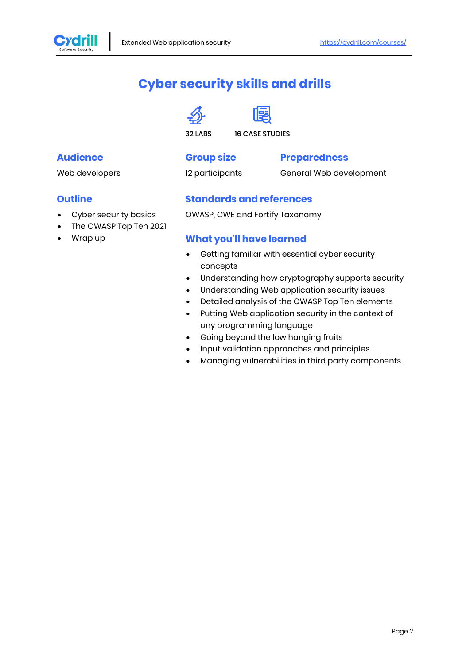

## **Cyber security skills and drills**





32 LABS 16 CASE STUDIES

#### **Audience**

Web developers

## **Group size**

#### **Preparedness**

12 participants

#### General Web development

#### **Outline**

- Cyber security basics
- The OWASP Top Ten 2021
- Wrap up

#### **Standards and references**

OWASP, CWE and Fortify Taxonomy

#### **What you'll have learned**

- Getting familiar with essential cyber security concepts
- Understanding how cryptography supports security
- Understanding Web application security issues
- Detailed analysis of the OWASP Top Ten elements
- Putting Web application security in the context of any programming language
- Going beyond the low hanging fruits
- Input validation approaches and principles
- Managing vulnerabilities in third party components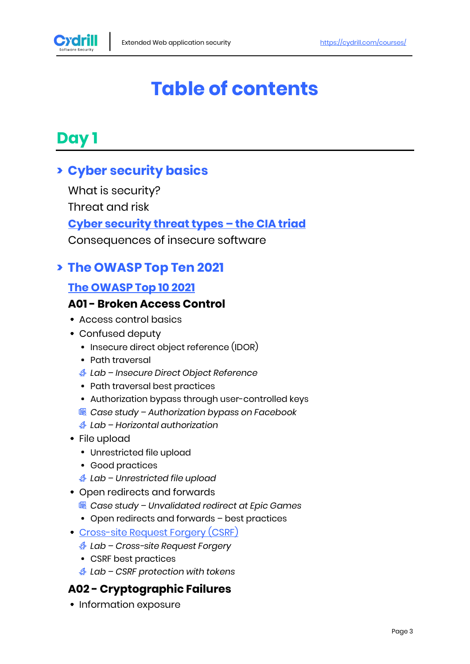

# **Table of contents**

# **Day 1**

## **> Cyber security basics**

What is security?

Threat and risk

### **[Cyber security threat types](https://cydrill.com/cyber-security/cyber-security-from-a-galactic-viewpoint) – the CIA triad**

Consequences of insecure software

## **> The OWASP Top Ten 2021**

### **[The OWASP Top 10 2021](https://owasp.org/www-project-top-ten)**

#### **A01 - Broken Access Control**

- Access control basics
- Confused deputy
	- Insecure direct object reference (IDOR)
	- Path traversal
	- *Lab – Insecure Direct Object Reference*
	- Path traversal best practices
	- Authorization bypass through user-controlled keys
	- *Case study – Authorization bypass on Facebook*
	- *Lab – Horizontal authorization*
- File upload
	- Unrestricted file upload
	- Good practices
	- *Lab – Unrestricted file upload*
- Open redirects and forwards
	- *Case study – Unvalidated redirect at Epic Games*
	- Open redirects and forwards best practices
- [Cross-site Request Forgery \(CSRF\)](https://cydrill.com/owasp/cross-site-request-forgery-csrf-past-and-future)
	- *Lab – Cross-site Request Forgery*
	- CSRF best practices
	- *Lab – CSRF protection with tokens*

### **A02 - Cryptographic Failures**

• Information exposure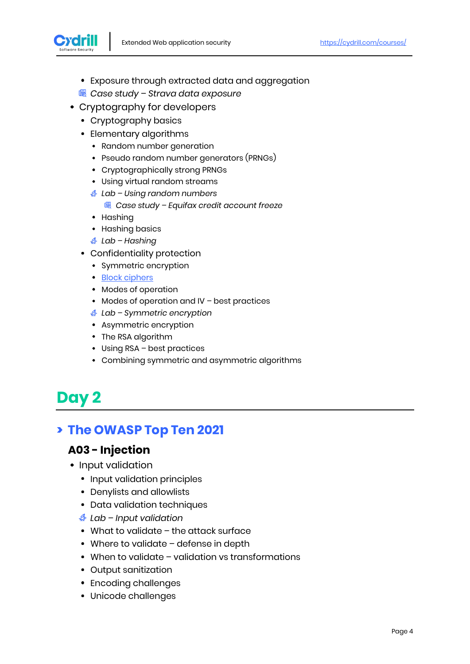

- Exposure through extracted data and aggregation
- *Case study – Strava data exposure*
- Cryptography for developers
	- Cryptography basics
	- Elementary algorithms
		- Random number generation
		- Pseudo random number generators (PRNGs)
		- Cryptographically strong PRNGs
		- Using virtual random streams
		- *Lab – Using random numbers*
			- *Case study – Equifax credit account freeze*
		- Hashing
		- Hashing basics
		- *Lab – Hashing*
	- Confidentiality protection
		- Symmetric encryption
		- [Block ciphers](https://cydrill.com/devops/encryption-with-aes)
		- Modes of operation
		- Modes of operation and IV best practices
		- *Lab – Symmetric encryption*
		- Asymmetric encryption
		- The RSA algorithm
		- Using RSA best practices
		- Combining symmetric and asymmetric algorithms

# **Day 2**

## **> The OWASP Top Ten 2021**

#### **A03 - Injection**

- Input validation
	- Input validation principles
	- Denylists and allowlists
	- Data validation techniques
	- *Lab – Input validation*
	- What to validate the attack surface
	- Where to validate defense in depth
	- When to validate validation vs transformations
	- Output sanitization
	- Encoding challenges
	- Unicode challenges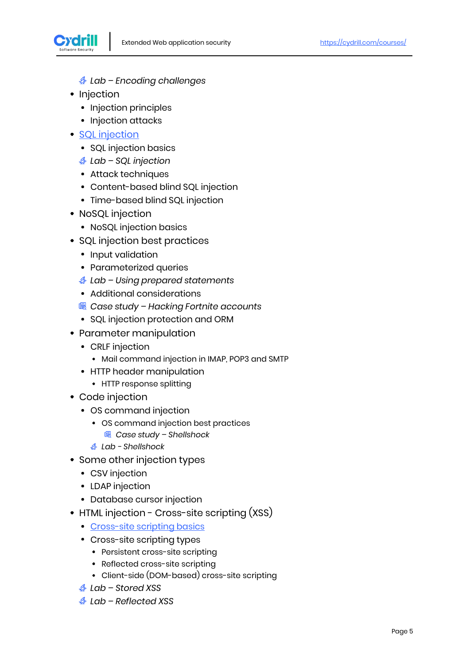

*Lab – Encoding challenges*

- Injection
	- Injection principles
	- Injection attacks
- [SQL injection](https://cydrill.com/owasp/sql-injection-is-it-a-solved-problem)
	- SQL injection basics
	- *Lab – SQL injection*
	- Attack techniques
	- Content-based blind SQL injection
	- Time-based blind SQL injection
- NoSQL injection
	- NoSQL injection basics
- SQL injection best practices
	- Input validation
	- Parameterized queries
	- *Lab – Using prepared statements*
	- Additional considerations
	- *Case study – Hacking Fortnite accounts*
	- SQL injection protection and ORM
- Parameter manipulation
	- CRLF injection
		- Mail command injection in IMAP, POP3 and SMTP
	- HTTP header manipulation
		- HTTP response splitting
- Code injection
	- OS command injection
		- OS command injection best practices
			- *Case study – Shellshock*
		- *Lab - Shellshock*
- Some other injection types
	- CSV injection
	- LDAP injection
	- Database cursor injection
- HTML injection Cross-site scripting (XSS)
	- [Cross-site scripting basics](https://cydrill.com/owasp/cross-site-scripting-an-old-new-threat)
	- Cross-site scripting types
		- Persistent cross-site scripting
		- Reflected cross-site scripting
		- Client-side (DOM-based) cross-site scripting
	- *Lab – Stored XSS*
	- *Lab – Reflected XSS*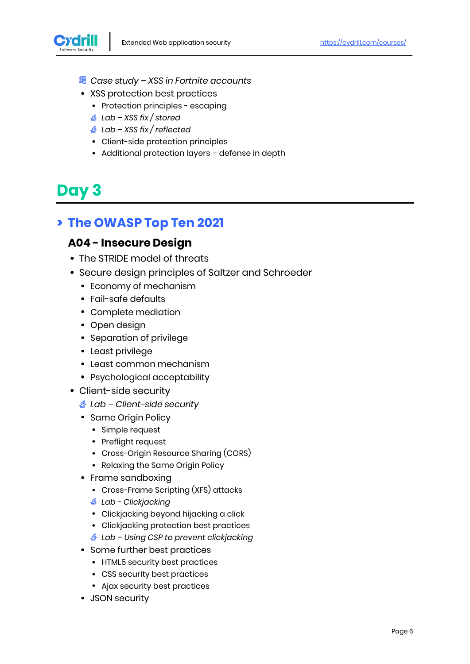

- *Case study – XSS in Fortnite accounts*
- XSS protection best practices
	- Protection principles escaping
	- *Lab – XSS fix / stored*
	- *Lab – XSS fix / reflected*
	- Client-side protection principles
	- Additional protection layers defense in depth

# **Day 3**

## **> The OWASP Top Ten 2021**

#### **A04 - Insecure Design**

- The STRIDE model of threats
- Secure design principles of Saltzer and Schroeder
	- Economy of mechanism
	- Fail-safe defaults
	- Complete mediation
	- Open design
	- Separation of privilege
	- Least privilege
	- Least common mechanism
	- Psychological acceptability
- Client-side security
	- *Lab – Client-side security*
	- Same Origin Policy
		- Simple request
		- Preflight request
		- Cross-Origin Resource Sharing (CORS)
		- Relaxing the Same Origin Policy
	- Frame sandboxing
		- Cross-Frame Scripting (XFS) attacks
		- *Lab - Clickjacking*
		- Clickjacking beyond hijacking a click
		- Clickjacking protection best practices
		- *Lab – Using CSP to prevent clickjacking*
	- Some further best practices
		- HTML5 security best practices
		- CSS security best practices
		- Ajax security best practices
	- JSON security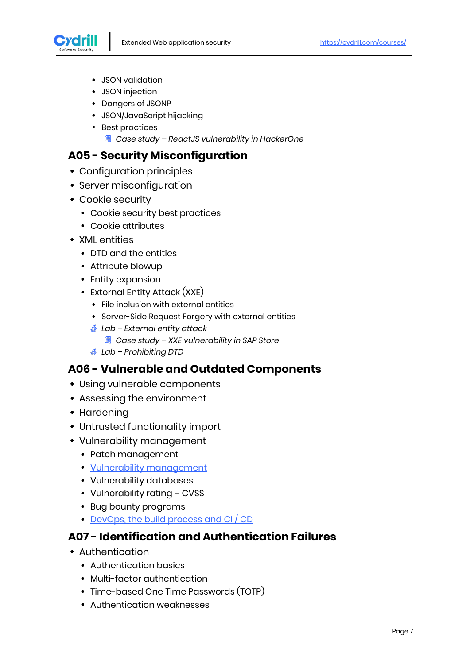

- JSON validation
- JSON injection
- Dangers of JSONP
- JSON/JavaScript hijacking
- Best practices
	- *Case study – ReactJS vulnerability in HackerOne*

#### **A05 - Security Misconfiguration**

- Configuration principles
- Server misconfiguration
- Cookie security
	- Cookie security best practices
	- Cookie attributes
- XML entities
	- DTD and the entities
	- Attribute blowup
	- Entity expansion
	- External Entity Attack (XXE)
		- File inclusion with external entities
		- Server-Side Request Forgery with external entities
		- *Lab – External entity attack*
			- *Case study – XXE vulnerability in SAP Store*
		- *Lab – Prohibiting DTD*

#### **A06 - Vulnerable and Outdated Components**

- Using vulnerable components
- Assessing the environment
- Hardening
- Untrusted functionality import
- Vulnerability management
	- Patch management
	- [Vulnerability management](https://cydrill.com/devops/cvss-measuring-the-unmeasurable)
	- Vulnerability databases
	- Vulnerability rating CVSS
	- Bug bounty programs
	- [DevOps, the build process and CI / CD](https://cydrill.com/devops/devops-and-security-secdevops3)

#### **A07 - Identification and Authentication Failures**

- Authentication
	- Authentication basics
	- Multi-factor authentication
	- Time-based One Time Passwords (TOTP)
	- Authentication weaknesses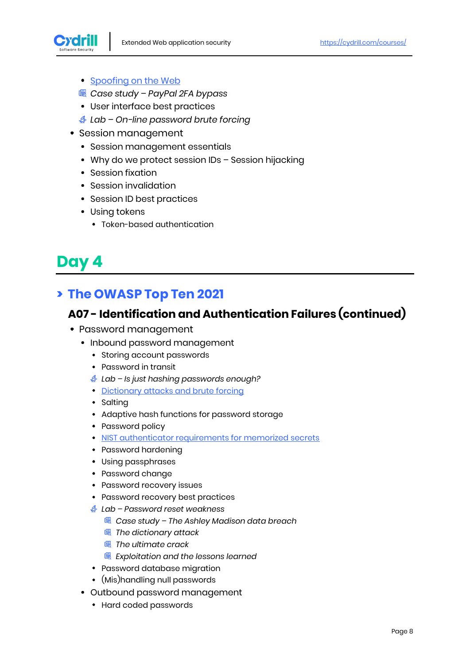

- [Spoofing on the Web](https://cydrill.com/owasp/spoofing-when-x-is-not-x)
- *Case study – PayPal 2FA bypass*
- User interface best practices
- *Lab – On-line password brute forcing*
- Session management
	- Session management essentials
	- Why do we protect session IDs Session hijacking
	- Session fixation
	- Session invalidation
	- Session ID best practices
	- Using tokens
		- Token-based authentication

# **Day 4**

## **> The OWASP Top Ten 2021**

#### **A07 - Identification and Authentication Failures (continued)**

- Password management
	- Inbound password management
		- Storing account passwords
		- Password in transit
		- *Lab – Is just hashing passwords enough?*
		- [Dictionary attacks and brute forcing](https://cydrill.com/owasp/brute-force-when-everything-is-a-nail)
		- Salting
		- Adaptive hash functions for password storage
		- Password policy
		- [NIST authenticator requirements for memorized secrets](https://cydrill.com/devops/nist-password-standards)
		- Password hardening
		- Using passphrases
		- Password change
		- Password recovery issues
		- Password recovery best practices
		- *Lab – Password reset weakness*
			- *Case study – The Ashley Madison data breach*
			- *The dictionary attack*
			- *The ultimate crack*
			- *Exploitation and the lessons learned*
		- Password database migration
		- (Mis)handling null passwords
	- Outbound password management
		- Hard coded passwords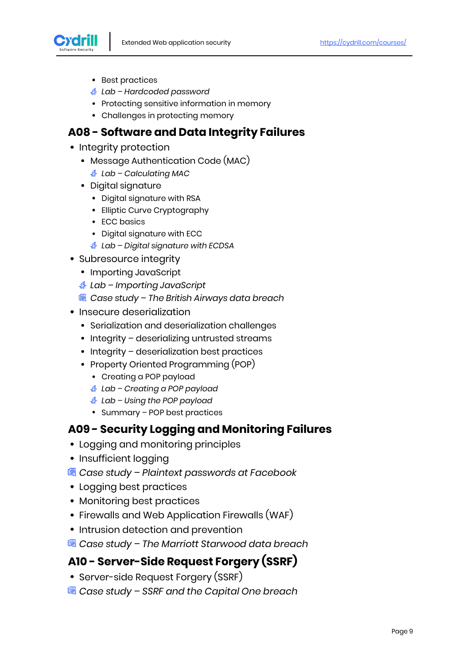

- Best practices
- *Lab – Hardcoded password*
- Protecting sensitive information in memory
- Challenges in protecting memory

#### **A08 - Software and Data Integrity Failures**

- Integrity protection
	- Message Authentication Code (MAC)
		- *Lab – Calculating MAC*
	- Digital signature
		- Digital signature with RSA
		- Elliptic Curve Cryptography
		- ECC basics
		- Digital signature with ECC
		- *Lab – Digital signature with ECDSA*
- Subresource integrity
	- Importing JavaScript
	- *Lab – Importing JavaScript*
	- *Case study – The British Airways data breach*
- Insecure deserialization
	- Serialization and deserialization challenges
	- Integrity deserializing untrusted streams
	- Integrity deserialization best practices
	- Property Oriented Programming (POP)
		- Creating a POP payload
		- *Lab – Creating a POP payload*
		- *Lab – Using the POP payload*
		- Summary POP best practices

#### **A09 - Security Logging and Monitoring Failures**

- Logging and monitoring principles
- Insufficient logging
- *Case study – Plaintext passwords at Facebook*
- Logging best practices
- Monitoring best practices
- Firewalls and Web Application Firewalls (WAF)
- Intrusion detection and prevention
- *Case study – The Marriott Starwood data breach*

#### **A10 - Server-Side Request Forgery (SSRF)**

- Server-side Request Forgery (SSRF)
- *Case study – SSRF and the Capital One breach*